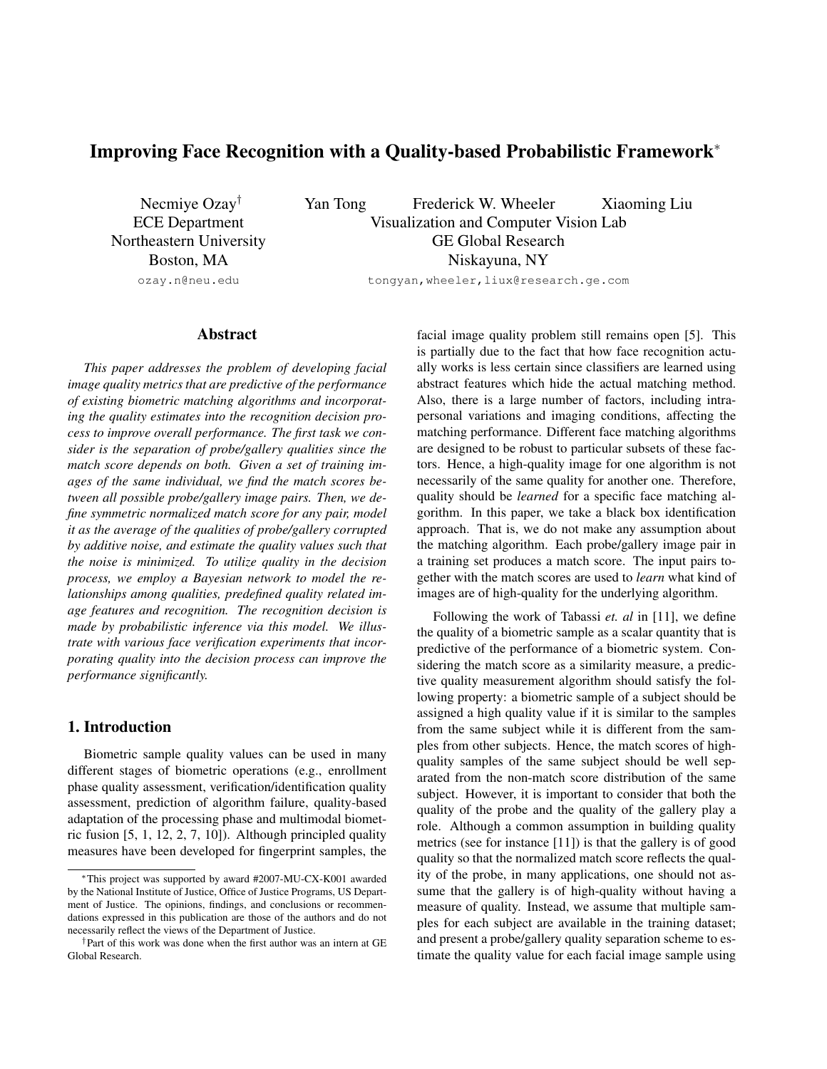# Improving Face Recognition with a Quality-based Probabilistic Framework<sup>∗</sup>

Necmiye Ozay† ECE Department Northeastern University Boston, MA ozay.n@neu.edu

Yan Tong Frederick W. Wheeler Xiaoming Liu

Visualization and Computer Vision Lab GE Global Research Niskayuna, NY

tongyan,wheeler,liux@research.ge.com

#### Abstract

*This paper addresses the problem of developing facial image quality metrics that are predictive of the performance of existing biometric matching algorithms and incorporating the quality estimates into the recognition decision process to improve overall performance. The first task we consider is the separation of probe/gallery qualities since the match score depends on both. Given a set of training images of the same individual, we find the match scores between all possible probe/gallery image pairs. Then, we define symmetric normalized match score for any pair, model it as the average of the qualities of probe/gallery corrupted by additive noise, and estimate the quality values such that the noise is minimized. To utilize quality in the decision process, we employ a Bayesian network to model the relationships among qualities, predefined quality related image features and recognition. The recognition decision is made by probabilistic inference via this model. We illustrate with various face verification experiments that incorporating quality into the decision process can improve the performance significantly.*

## 1. Introduction

Biometric sample quality values can be used in many different stages of biometric operations (e.g., enrollment phase quality assessment, verification/identification quality assessment, prediction of algorithm failure, quality-based adaptation of the processing phase and multimodal biometric fusion [5, 1, 12, 2, 7, 10]). Although principled quality measures have been developed for fingerprint samples, the facial image quality problem still remains open [5]. This is partially due to the fact that how face recognition actually works is less certain since classifiers are learned using abstract features which hide the actual matching method. Also, there is a large number of factors, including intrapersonal variations and imaging conditions, affecting the matching performance. Different face matching algorithms are designed to be robust to particular subsets of these factors. Hence, a high-quality image for one algorithm is not necessarily of the same quality for another one. Therefore, quality should be *learned* for a specific face matching algorithm. In this paper, we take a black box identification approach. That is, we do not make any assumption about the matching algorithm. Each probe/gallery image pair in a training set produces a match score. The input pairs together with the match scores are used to *learn* what kind of images are of high-quality for the underlying algorithm.

Following the work of Tabassi *et. al* in [11], we define the quality of a biometric sample as a scalar quantity that is predictive of the performance of a biometric system. Considering the match score as a similarity measure, a predictive quality measurement algorithm should satisfy the following property: a biometric sample of a subject should be assigned a high quality value if it is similar to the samples from the same subject while it is different from the samples from other subjects. Hence, the match scores of highquality samples of the same subject should be well separated from the non-match score distribution of the same subject. However, it is important to consider that both the quality of the probe and the quality of the gallery play a role. Although a common assumption in building quality metrics (see for instance [11]) is that the gallery is of good quality so that the normalized match score reflects the quality of the probe, in many applications, one should not assume that the gallery is of high-quality without having a measure of quality. Instead, we assume that multiple samples for each subject are available in the training dataset; and present a probe/gallery quality separation scheme to estimate the quality value for each facial image sample using

<sup>∗</sup>This project was supported by award #2007-MU-CX-K001 awarded by the National Institute of Justice, Office of Justice Programs, US Department of Justice. The opinions, findings, and conclusions or recommendations expressed in this publication are those of the authors and do not necessarily reflect the views of the Department of Justice.

<sup>†</sup>Part of this work was done when the first author was an intern at GE Global Research.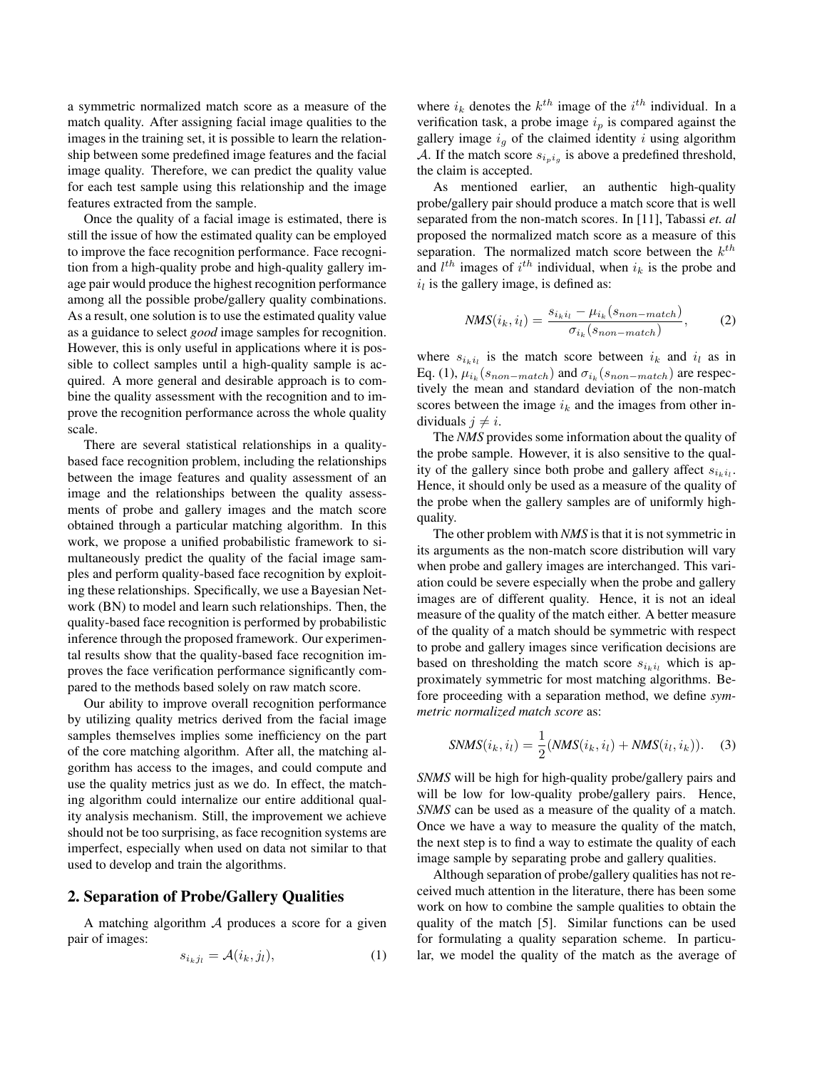a symmetric normalized match score as a measure of the match quality. After assigning facial image qualities to the images in the training set, it is possible to learn the relationship between some predefined image features and the facial image quality. Therefore, we can predict the quality value for each test sample using this relationship and the image features extracted from the sample.

Once the quality of a facial image is estimated, there is still the issue of how the estimated quality can be employed to improve the face recognition performance. Face recognition from a high-quality probe and high-quality gallery image pair would produce the highest recognition performance among all the possible probe/gallery quality combinations. As a result, one solution is to use the estimated quality value as a guidance to select *good* image samples for recognition. However, this is only useful in applications where it is possible to collect samples until a high-quality sample is acquired. A more general and desirable approach is to combine the quality assessment with the recognition and to improve the recognition performance across the whole quality scale.

There are several statistical relationships in a qualitybased face recognition problem, including the relationships between the image features and quality assessment of an image and the relationships between the quality assessments of probe and gallery images and the match score obtained through a particular matching algorithm. In this work, we propose a unified probabilistic framework to simultaneously predict the quality of the facial image samples and perform quality-based face recognition by exploiting these relationships. Specifically, we use a Bayesian Network (BN) to model and learn such relationships. Then, the quality-based face recognition is performed by probabilistic inference through the proposed framework. Our experimental results show that the quality-based face recognition improves the face verification performance significantly compared to the methods based solely on raw match score.

Our ability to improve overall recognition performance by utilizing quality metrics derived from the facial image samples themselves implies some inefficiency on the part of the core matching algorithm. After all, the matching algorithm has access to the images, and could compute and use the quality metrics just as we do. In effect, the matching algorithm could internalize our entire additional quality analysis mechanism. Still, the improvement we achieve should not be too surprising, as face recognition systems are imperfect, especially when used on data not similar to that used to develop and train the algorithms.

#### 2. Separation of Probe/Gallery Qualities

A matching algorithm  $A$  produces a score for a given pair of images:

$$
s_{i_k j_l} = \mathcal{A}(i_k, j_l),\tag{1}
$$

where  $i_k$  denotes the  $k^{th}$  image of the  $i^{th}$  individual. In a verification task, a probe image  $i_p$  is compared against the gallery image  $i_q$  of the claimed identity i using algorithm A. If the match score  $s_{i_p i_q}$  is above a predefined threshold, the claim is accepted.

As mentioned earlier, an authentic high-quality probe/gallery pair should produce a match score that is well separated from the non-match scores. In [11], Tabassi *et. al* proposed the normalized match score as a measure of this separation. The normalized match score between the  $k^{th}$ and  $l^{th}$  images of  $i^{th}$  individual, when  $i_k$  is the probe and  $i_l$  is the gallery image, is defined as:

$$
NMS(i_k, i_l) = \frac{s_{i_k i_l} - \mu_{i_k}(s_{non-match})}{\sigma_{i_k}(s_{non-match})},
$$
 (2)

where  $s_{i_k i_l}$  is the match score between  $i_k$  and  $i_l$  as in Eq. (1),  $\mu_{i_k}(s_{non-match})$  and  $\sigma_{i_k}(s_{non-match})$  are respectively the mean and standard deviation of the non-match scores between the image  $i_k$  and the images from other individuals  $i \neq i$ .

The *NMS* provides some information about the quality of the probe sample. However, it is also sensitive to the quality of the gallery since both probe and gallery affect  $s_{i_k i_l}$ . Hence, it should only be used as a measure of the quality of the probe when the gallery samples are of uniformly highquality.

The other problem with *NMS* is that it is not symmetric in its arguments as the non-match score distribution will vary when probe and gallery images are interchanged. This variation could be severe especially when the probe and gallery images are of different quality. Hence, it is not an ideal measure of the quality of the match either. A better measure of the quality of a match should be symmetric with respect to probe and gallery images since verification decisions are based on thresholding the match score  $s_{i_k i_l}$  which is approximately symmetric for most matching algorithms. Before proceeding with a separation method, we define *symmetric normalized match score* as:

$$
SMMS(i_k, i_l) = \frac{1}{2}(NMS(i_k, i_l) + NMS(i_l, i_k)).
$$
 (3)

*SNMS* will be high for high-quality probe/gallery pairs and will be low for low-quality probe/gallery pairs. Hence, *SNMS* can be used as a measure of the quality of a match. Once we have a way to measure the quality of the match, the next step is to find a way to estimate the quality of each image sample by separating probe and gallery qualities.

Although separation of probe/gallery qualities has not received much attention in the literature, there has been some work on how to combine the sample qualities to obtain the quality of the match [5]. Similar functions can be used for formulating a quality separation scheme. In particular, we model the quality of the match as the average of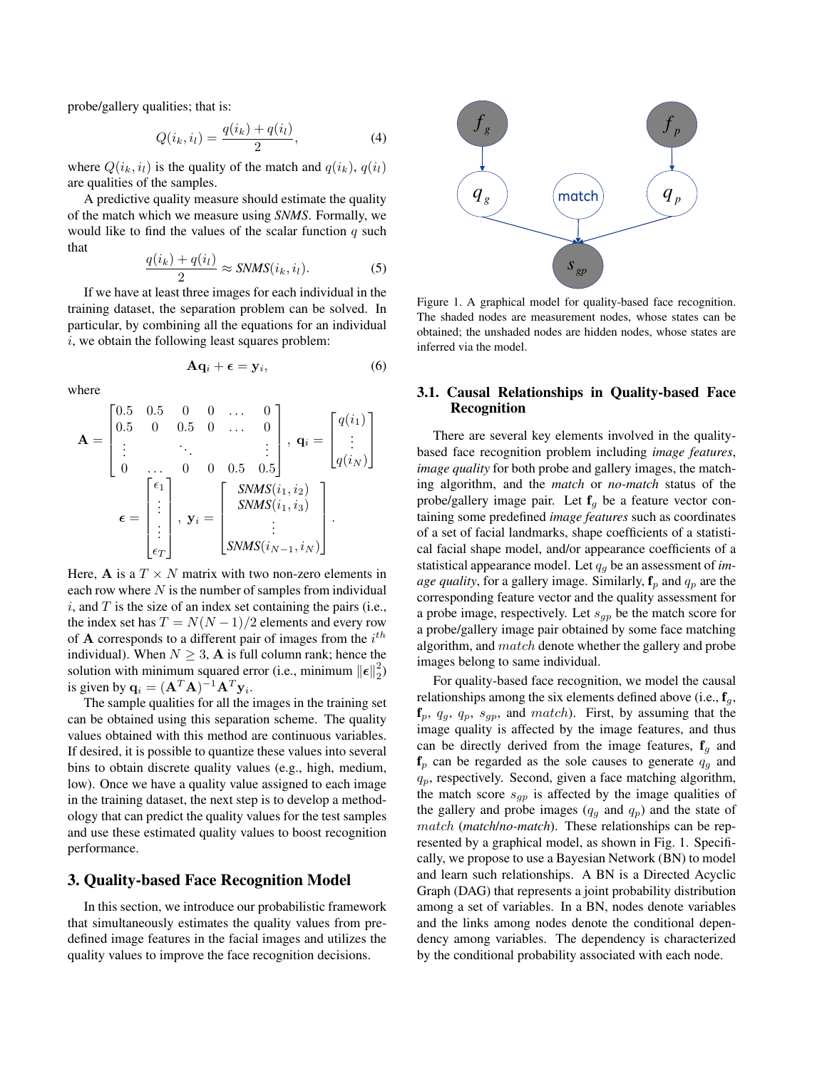probe/gallery qualities; that is:

$$
Q(i_k, i_l) = \frac{q(i_k) + q(i_l)}{2}, \tag{4}
$$

where  $Q(i_k, i_l)$  is the quality of the match and  $q(i_k)$ ,  $q(i_l)$ are qualities of the samples.

A predictive quality measure should estimate the quality of the match which we measure using *SNMS*. Formally, we would like to find the values of the scalar function  $q$  such that

$$
\frac{q(i_k) + q(i_l)}{2} \approx \text{SMMS}(i_k, i_l). \tag{5}
$$

If we have at least three images for each individual in the training dataset, the separation problem can be solved. In particular, by combining all the equations for an individual  $i$ , we obtain the following least squares problem:

$$
Aq_i + \epsilon = y_i, \tag{6}
$$

where

$$
\mathbf{A} = \begin{bmatrix} 0.5 & 0.5 & 0 & 0 & \dots & 0 \\ 0.5 & 0 & 0.5 & 0 & \dots & 0 \\ \vdots & \vdots & \ddots & \vdots & \vdots \\ 0 & \dots & 0 & 0 & 0.5 & 0.5 \end{bmatrix}, \mathbf{q}_i = \begin{bmatrix} q(i_1) \\ \vdots \\ q(i_N) \end{bmatrix}
$$
\n
$$
\boldsymbol{\epsilon} = \begin{bmatrix} \epsilon_1 \\ \vdots \\ \epsilon_T \end{bmatrix}, \mathbf{y}_i = \begin{bmatrix} \text{SNMS}(i_1, i_2) \\ \text{SNMS}(i_1, i_3) \\ \vdots \\ \text{SNMS}(i_{N-1}, i_N) \end{bmatrix}.
$$

Here, A is a  $T \times N$  matrix with two non-zero elements in each row where  $N$  is the number of samples from individual i, and  $T$  is the size of an index set containing the pairs (i.e., the index set has  $T = N(N-1)/2$  elements and every row of **A** corresponds to a different pair of images from the  $i^{th}$ individual). When  $N > 3$ , **A** is full column rank; hence the solution with minimum squared error (i.e., minimum  $||\boldsymbol{\epsilon}||_2^2$ ) is given by  $\mathbf{q}_i = (\mathbf{A}^T \mathbf{A})^{-1} \mathbf{A}^T \mathbf{y}_i$ .

The sample qualities for all the images in the training set can be obtained using this separation scheme. The quality values obtained with this method are continuous variables. If desired, it is possible to quantize these values into several bins to obtain discrete quality values (e.g., high, medium, low). Once we have a quality value assigned to each image in the training dataset, the next step is to develop a methodology that can predict the quality values for the test samples and use these estimated quality values to boost recognition performance.

#### 3. Quality-based Face Recognition Model

In this section, we introduce our probabilistic framework that simultaneously estimates the quality values from predefined image features in the facial images and utilizes the quality values to improve the face recognition decisions.



Figure 1. A graphical model for quality-based face recognition. The shaded nodes are measurement nodes, whose states can be obtained; the unshaded nodes are hidden nodes, whose states are inferred via the model.

## 3.1. Causal Relationships in Quality-based Face Recognition

There are several key elements involved in the qualitybased face recognition problem including *image features*, *image quality* for both probe and gallery images, the matching algorithm, and the *match* or *no-match* status of the probe/gallery image pair. Let  $f_a$  be a feature vector containing some predefined *image features* such as coordinates of a set of facial landmarks, shape coefficients of a statistical facial shape model, and/or appearance coefficients of a statistical appearance model. Let q<sup>g</sup> be an assessment of *image quality*, for a gallery image. Similarly,  $f_p$  and  $q_p$  are the corresponding feature vector and the quality assessment for a probe image, respectively. Let  $s_{qp}$  be the match score for a probe/gallery image pair obtained by some face matching algorithm, and match denote whether the gallery and probe images belong to same individual.

For quality-based face recognition, we model the causal relationships among the six elements defined above (i.e.,  $f<sub>g</sub>$ ,  $f_p$ ,  $q_g$ ,  $q_p$ ,  $s_{gp}$ , and match). First, by assuming that the image quality is affected by the image features, and thus can be directly derived from the image features,  $f<sub>q</sub>$  and  $f_p$  can be regarded as the sole causes to generate  $q_g$  and  $q_p$ , respectively. Second, given a face matching algorithm, the match score  $s_{gp}$  is affected by the image qualities of the gallery and probe images  $(q_q \text{ and } q_p)$  and the state of match (*match*/*no-match*). These relationships can be represented by a graphical model, as shown in Fig. 1. Specifically, we propose to use a Bayesian Network (BN) to model and learn such relationships. A BN is a Directed Acyclic Graph (DAG) that represents a joint probability distribution among a set of variables. In a BN, nodes denote variables and the links among nodes denote the conditional dependency among variables. The dependency is characterized by the conditional probability associated with each node.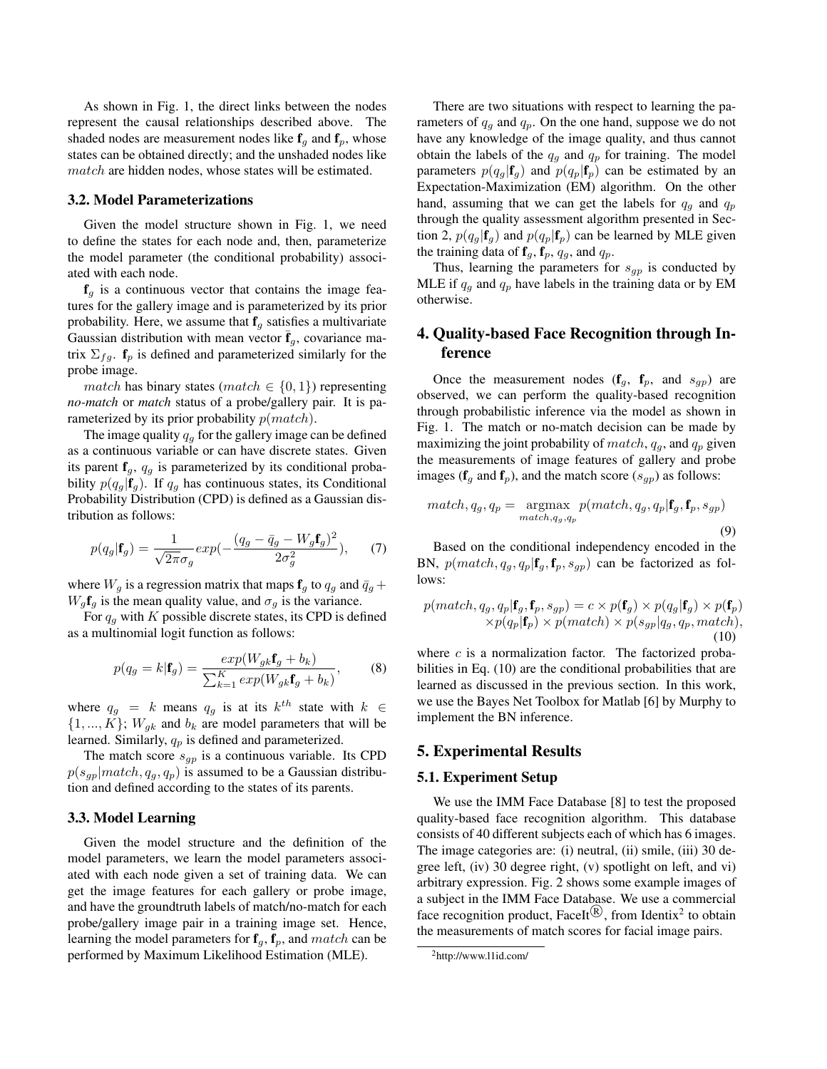As shown in Fig. 1, the direct links between the nodes represent the causal relationships described above. The shaded nodes are measurement nodes like  $f<sub>g</sub>$  and  $f<sub>p</sub>$ , whose states can be obtained directly; and the unshaded nodes like match are hidden nodes, whose states will be estimated.

#### 3.2. Model Parameterizations

Given the model structure shown in Fig. 1, we need to define the states for each node and, then, parameterize the model parameter (the conditional probability) associated with each node.

 $f_q$  is a continuous vector that contains the image features for the gallery image and is parameterized by its prior probability. Here, we assume that  $f<sub>q</sub>$  satisfies a multivariate Gaussian distribution with mean vector  $f<sub>g</sub>$ , covariance matrix  $\Sigma_{fg}$ .  $f_p$  is defined and parameterized similarly for the probe image.

*match* has binary states (*match*  $\in \{0, 1\}$ ) representing *no-match* or *match* status of a probe/gallery pair. It is parameterized by its prior probability  $p(match)$ .

The image quality  $q<sub>q</sub>$  for the gallery image can be defined as a continuous variable or can have discrete states. Given its parent  $f_g$ ,  $q_g$  is parameterized by its conditional probability  $p(q_g|\mathbf{f}_g)$ . If  $q_g$  has continuous states, its Conditional Probability Distribution (CPD) is defined as a Gaussian distribution as follows:

$$
p(q_g|\mathbf{f}_g) = \frac{1}{\sqrt{2\pi}\sigma_g} exp(-\frac{(q_g - \bar{q}_g - W_g \mathbf{f}_g)^2}{2\sigma_g^2}), \quad (7)
$$

where  $W_g$  is a regression matrix that maps  $\mathbf{f}_g$  to  $q_g$  and  $\bar{q}_g$  +  $W_g$ **f**<sub>g</sub> is the mean quality value, and  $\sigma_g$  is the variance.

For  $q_q$  with K possible discrete states, its CPD is defined as a multinomial logit function as follows:

$$
p(q_g = k|\mathbf{f}_g) = \frac{exp(W_{gk}\mathbf{f}_g + b_k)}{\sum_{k=1}^{K} exp(W_{gk}\mathbf{f}_g + b_k)},
$$
(8)

where  $q_g = k$  means  $q_g$  is at its  $k^{th}$  state with  $k \in$  $\{1, ..., K\}$ ;  $W_{gk}$  and  $b_k$  are model parameters that will be learned. Similarly,  $q_p$  is defined and parameterized.

The match score  $s_{gp}$  is a continuous variable. Its CPD  $p(s_{gp}|match, q_g, q_p)$  is assumed to be a Gaussian distribution and defined according to the states of its parents.

#### 3.3. Model Learning

Given the model structure and the definition of the model parameters, we learn the model parameters associated with each node given a set of training data. We can get the image features for each gallery or probe image, and have the groundtruth labels of match/no-match for each probe/gallery image pair in a training image set. Hence, learning the model parameters for  $f_a$ ,  $f_p$ , and match can be performed by Maximum Likelihood Estimation (MLE).

There are two situations with respect to learning the parameters of  $q_g$  and  $q_p$ . On the one hand, suppose we do not have any knowledge of the image quality, and thus cannot obtain the labels of the  $q<sub>q</sub>$  and  $q<sub>p</sub>$  for training. The model parameters  $p(q_g|\mathbf{f}_g)$  and  $p(q_p|\mathbf{f}_p)$  can be estimated by an Expectation-Maximization (EM) algorithm. On the other hand, assuming that we can get the labels for  $q<sub>q</sub>$  and  $q<sub>p</sub>$ through the quality assessment algorithm presented in Section 2,  $p(q_g|\mathbf{f}_g)$  and  $p(q_p|\mathbf{f}_p)$  can be learned by MLE given the training data of  $f_g$ ,  $f_p$ ,  $q_g$ , and  $q_p$ .

Thus, learning the parameters for  $s_{gp}$  is conducted by MLE if  $q_g$  and  $q_p$  have labels in the training data or by EM otherwise.

## 4. Quality-based Face Recognition through Inference

Once the measurement nodes  $(f_q, f_p, \text{ and } s_{qp})$  are observed, we can perform the quality-based recognition through probabilistic inference via the model as shown in Fig. 1. The match or no-match decision can be made by maximizing the joint probability of  $match, q_q$ , and  $q_p$  given the measurements of image features of gallery and probe images ( $f_q$  and  $f_p$ ), and the match score ( $s_{qp}$ ) as follows:

$$
match, q_g, q_p = \underset{match, q_g, q_p}{\text{argmax}} p(match, q_g, q_p | \mathbf{f}_g, \mathbf{f}_p, s_{gp})
$$
\n(9)

Based on the conditional independency encoded in the BN,  $p(match, q_g, q_p | \mathbf{f}_g, \mathbf{f}_p, s_{gp})$  can be factorized as follows:

$$
p(match, q_g, q_p | \mathbf{f}_g, \mathbf{f}_p, s_{gp}) = c \times p(\mathbf{f}_g) \times p(q_g | \mathbf{f}_g) \times p(\mathbf{f}_p)
$$
  
 
$$
\times p(q_p | \mathbf{f}_p) \times p(match) \times p(s_{gp} | q_g, q_p, match),
$$
  
(10)

where  $c$  is a normalization factor. The factorized probabilities in Eq. (10) are the conditional probabilities that are learned as discussed in the previous section. In this work, we use the Bayes Net Toolbox for Matlab [6] by Murphy to implement the BN inference.

### 5. Experimental Results

#### 5.1. Experiment Setup

We use the IMM Face Database [8] to test the proposed quality-based face recognition algorithm. This database consists of 40 different subjects each of which has 6 images. The image categories are: (i) neutral, (ii) smile, (iii) 30 degree left, (iv) 30 degree right, (v) spotlight on left, and vi) arbitrary expression. Fig. 2 shows some example images of a subject in the IMM Face Database. We use a commercial face recognition product, FaceIt $(\overline{R})$ , from Identix<sup>2</sup> to obtain the measurements of match scores for facial image pairs.

<sup>2</sup>http://www.l1id.com/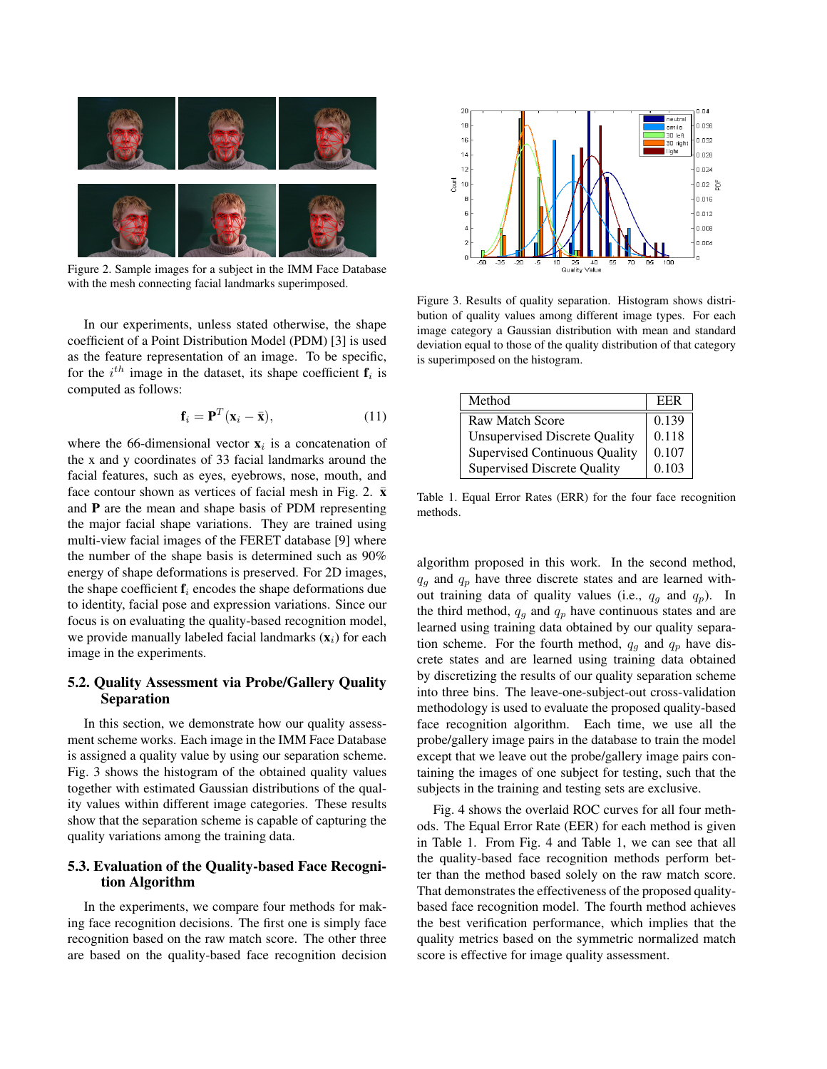

Figure 2. Sample images for a subject in the IMM Face Database with the mesh connecting facial landmarks superimposed.

In our experiments, unless stated otherwise, the shape coefficient of a Point Distribution Model (PDM) [3] is used as the feature representation of an image. To be specific, for the  $i^{th}$  image in the dataset, its shape coefficient  $f_i$  is computed as follows:

$$
\mathbf{f}_i = \mathbf{P}^T (\mathbf{x}_i - \bar{\mathbf{x}}), \tag{11}
$$

where the 66-dimensional vector  $x_i$  is a concatenation of the x and y coordinates of 33 facial landmarks around the facial features, such as eyes, eyebrows, nose, mouth, and face contour shown as vertices of facial mesh in Fig. 2.  $\bar{x}$ and P are the mean and shape basis of PDM representing the major facial shape variations. They are trained using multi-view facial images of the FERET database [9] where the number of the shape basis is determined such as 90% energy of shape deformations is preserved. For 2D images, the shape coefficient  $f_i$  encodes the shape deformations due to identity, facial pose and expression variations. Since our focus is on evaluating the quality-based recognition model, we provide manually labeled facial landmarks  $(x_i)$  for each image in the experiments.

### 5.2. Quality Assessment via Probe/Gallery Quality Separation

In this section, we demonstrate how our quality assessment scheme works. Each image in the IMM Face Database is assigned a quality value by using our separation scheme. Fig. 3 shows the histogram of the obtained quality values together with estimated Gaussian distributions of the quality values within different image categories. These results show that the separation scheme is capable of capturing the quality variations among the training data.

### 5.3. Evaluation of the Quality-based Face Recognition Algorithm

In the experiments, we compare four methods for making face recognition decisions. The first one is simply face recognition based on the raw match score. The other three are based on the quality-based face recognition decision



Figure 3. Results of quality separation. Histogram shows distribution of quality values among different image types. For each image category a Gaussian distribution with mean and standard deviation equal to those of the quality distribution of that category is superimposed on the histogram.

| Method                               | <b>EER</b> |
|--------------------------------------|------------|
| Raw Match Score                      | 0.139      |
| <b>Unsupervised Discrete Quality</b> | 0.118      |
| Supervised Continuous Quality        | 0.107      |
| <b>Supervised Discrete Quality</b>   | 0.103      |

Table 1. Equal Error Rates (ERR) for the four face recognition methods.

algorithm proposed in this work. In the second method,  $q<sub>q</sub>$  and  $q<sub>p</sub>$  have three discrete states and are learned without training data of quality values (i.e.,  $q_g$  and  $q_p$ ). In the third method,  $q_g$  and  $q_p$  have continuous states and are learned using training data obtained by our quality separation scheme. For the fourth method,  $q<sub>q</sub>$  and  $q<sub>p</sub>$  have discrete states and are learned using training data obtained by discretizing the results of our quality separation scheme into three bins. The leave-one-subject-out cross-validation methodology is used to evaluate the proposed quality-based face recognition algorithm. Each time, we use all the probe/gallery image pairs in the database to train the model except that we leave out the probe/gallery image pairs containing the images of one subject for testing, such that the subjects in the training and testing sets are exclusive.

Fig. 4 shows the overlaid ROC curves for all four methods. The Equal Error Rate (EER) for each method is given in Table 1. From Fig. 4 and Table 1, we can see that all the quality-based face recognition methods perform better than the method based solely on the raw match score. That demonstrates the effectiveness of the proposed qualitybased face recognition model. The fourth method achieves the best verification performance, which implies that the quality metrics based on the symmetric normalized match score is effective for image quality assessment.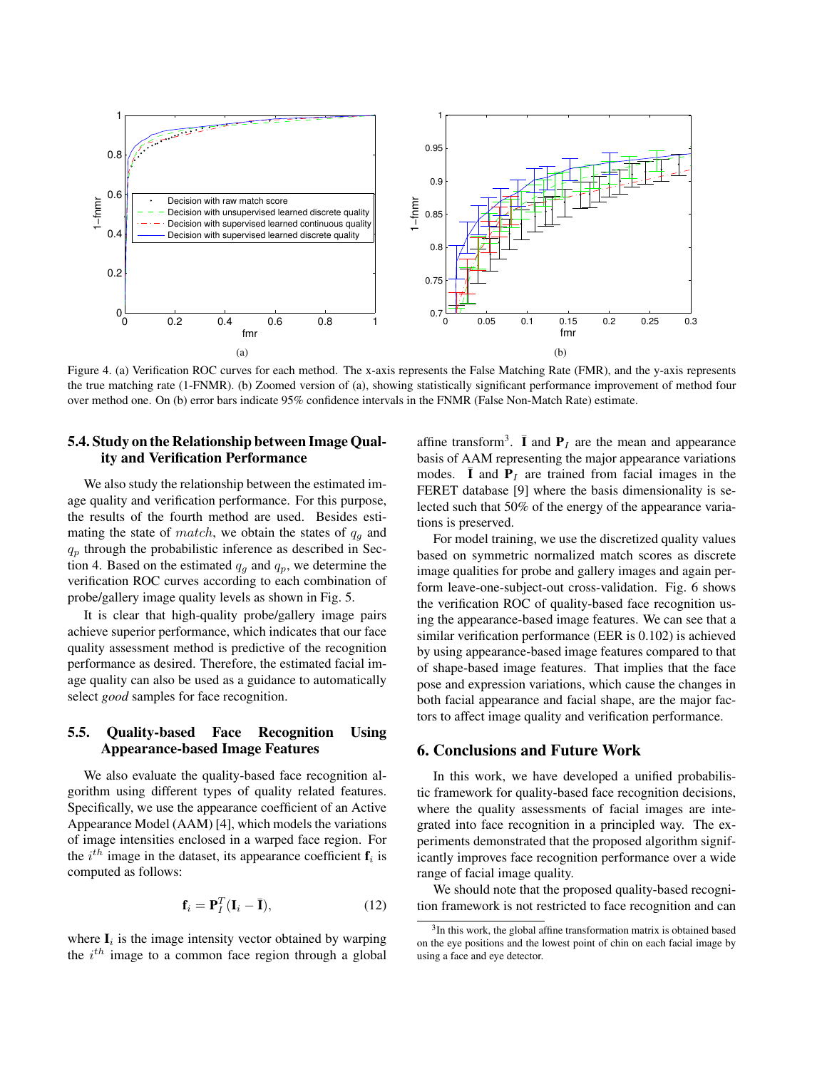

Figure 4. (a) Verification ROC curves for each method. The x-axis represents the False Matching Rate (FMR), and the y-axis represents the true matching rate (1-FNMR). (b) Zoomed version of (a), showing statistically significant performance improvement of method four over method one. On (b) error bars indicate 95% confidence intervals in the FNMR (False Non-Match Rate) estimate.

### 5.4. Study on the Relationship between Image Quality and Verification Performance

We also study the relationship between the estimated image quality and verification performance. For this purpose, the results of the fourth method are used. Besides estimating the state of match, we obtain the states of  $q_g$  and  $q_p$  through the probabilistic inference as described in Section 4. Based on the estimated  $q_g$  and  $q_p$ , we determine the verification ROC curves according to each combination of probe/gallery image quality levels as shown in Fig. 5.

It is clear that high-quality probe/gallery image pairs achieve superior performance, which indicates that our face quality assessment method is predictive of the recognition performance as desired. Therefore, the estimated facial image quality can also be used as a guidance to automatically select *good* samples for face recognition.

### 5.5. Quality-based Face Recognition Using Appearance-based Image Features

We also evaluate the quality-based face recognition algorithm using different types of quality related features. Specifically, we use the appearance coefficient of an Active Appearance Model (AAM) [4], which models the variations of image intensities enclosed in a warped face region. For the  $i^{th}$  image in the dataset, its appearance coefficient  $f_i$  is computed as follows:

$$
\mathbf{f}_i = \mathbf{P}_I^T (\mathbf{I}_i - \bar{\mathbf{I}}), \tag{12}
$$

where  $I_i$  is the image intensity vector obtained by warping the  $i^{th}$  image to a common face region through a global

affine transform<sup>3</sup>.  $\bar{I}$  and  $P_I$  are the mean and appearance basis of AAM representing the major appearance variations modes.  $\bar{I}$  and  $P_I$  are trained from facial images in the FERET database [9] where the basis dimensionality is selected such that 50% of the energy of the appearance variations is preserved.

For model training, we use the discretized quality values based on symmetric normalized match scores as discrete image qualities for probe and gallery images and again perform leave-one-subject-out cross-validation. Fig. 6 shows the verification ROC of quality-based face recognition using the appearance-based image features. We can see that a similar verification performance (EER is 0.102) is achieved by using appearance-based image features compared to that of shape-based image features. That implies that the face pose and expression variations, which cause the changes in both facial appearance and facial shape, are the major factors to affect image quality and verification performance.

## 6. Conclusions and Future Work

In this work, we have developed a unified probabilistic framework for quality-based face recognition decisions, where the quality assessments of facial images are integrated into face recognition in a principled way. The experiments demonstrated that the proposed algorithm significantly improves face recognition performance over a wide range of facial image quality.

We should note that the proposed quality-based recognition framework is not restricted to face recognition and can

<sup>&</sup>lt;sup>3</sup>In this work, the global affine transformation matrix is obtained based on the eye positions and the lowest point of chin on each facial image by using a face and eye detector.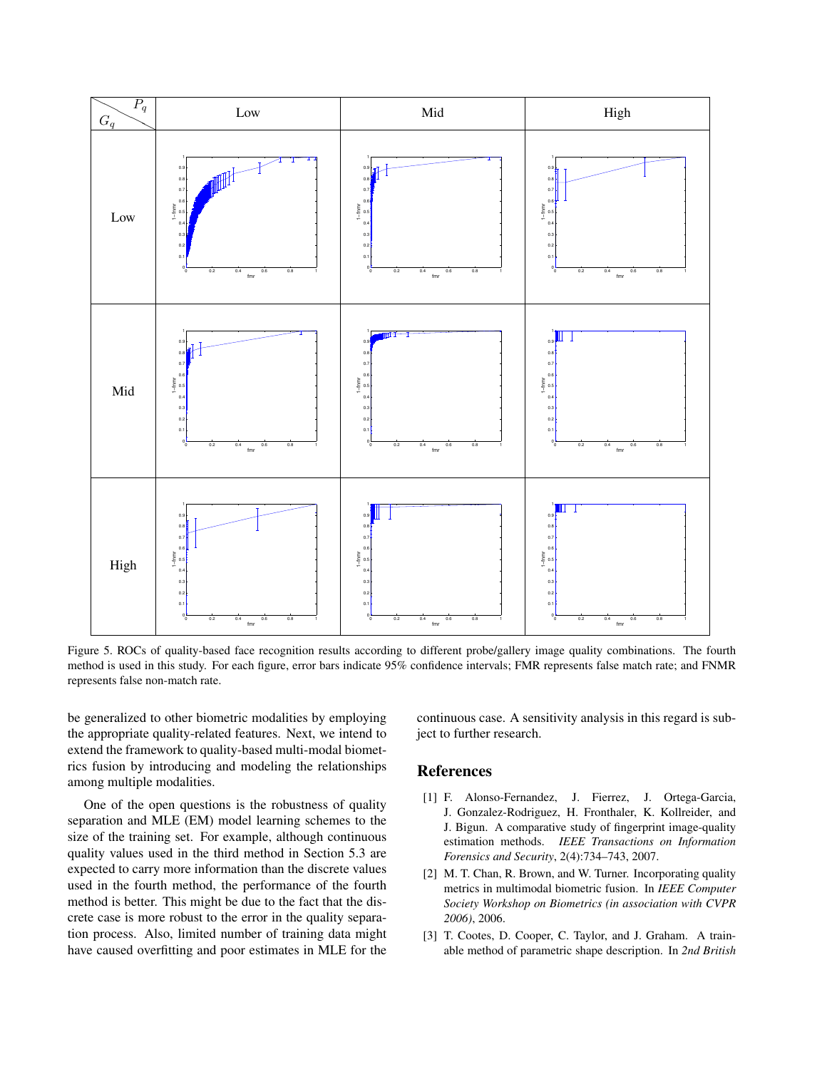

Figure 5. ROCs of quality-based face recognition results according to different probe/gallery image quality combinations. The fourth method is used in this study. For each figure, error bars indicate 95% confidence intervals; FMR represents false match rate; and FNMR represents false non-match rate.

be generalized to other biometric modalities by employing the appropriate quality-related features. Next, we intend to extend the framework to quality-based multi-modal biometrics fusion by introducing and modeling the relationships among multiple modalities.

One of the open questions is the robustness of quality separation and MLE (EM) model learning schemes to the size of the training set. For example, although continuous quality values used in the third method in Section 5.3 are expected to carry more information than the discrete values used in the fourth method, the performance of the fourth method is better. This might be due to the fact that the discrete case is more robust to the error in the quality separation process. Also, limited number of training data might have caused overfitting and poor estimates in MLE for the continuous case. A sensitivity analysis in this regard is subject to further research.

### References

- [1] F. Alonso-Fernandez, J. Fierrez, J. Ortega-Garcia, J. Gonzalez-Rodriguez, H. Fronthaler, K. Kollreider, and J. Bigun. A comparative study of fingerprint image-quality estimation methods. *IEEE Transactions on Information Forensics and Security*, 2(4):734–743, 2007.
- [2] M. T. Chan, R. Brown, and W. Turner. Incorporating quality metrics in multimodal biometric fusion. In *IEEE Computer Society Workshop on Biometrics (in association with CVPR 2006)*, 2006.
- [3] T. Cootes, D. Cooper, C. Taylor, and J. Graham. A trainable method of parametric shape description. In *2nd British*